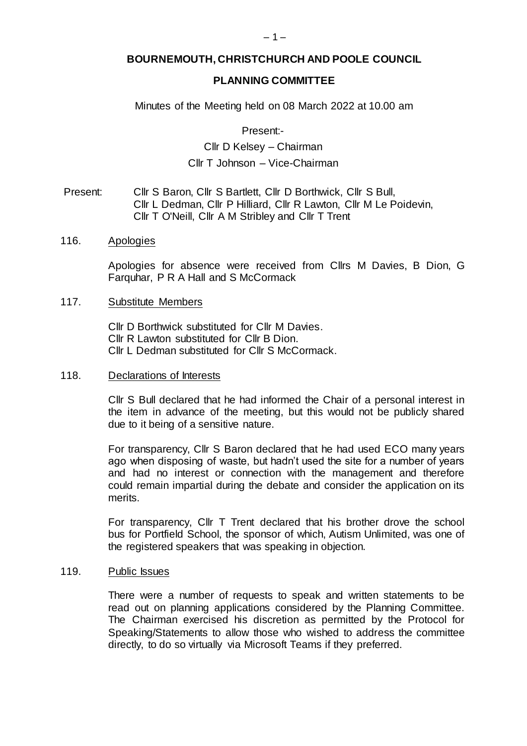# **BOURNEMOUTH, CHRISTCHURCH AND POOLE COUNCIL**

### **PLANNING COMMITTEE**

Minutes of the Meeting held on 08 March 2022 at 10.00 am

Present:-

Cllr D Kelsey – Chairman Cllr T Johnson – Vice-Chairman

- Present: Cllr S Baron, Cllr S Bartlett, Cllr D Borthwick, Cllr S Bull, Cllr L Dedman, Cllr P Hilliard, Cllr R Lawton, Cllr M Le Poidevin, Cllr T O'Neill, Cllr A M Stribley and Cllr T Trent
- 116. Apologies

Apologies for absence were received from Cllrs M Davies, B Dion, G Farquhar, P R A Hall and S McCormack

#### 117. Substitute Members

Cllr D Borthwick substituted for Cllr M Davies. Cllr R Lawton substituted for Cllr B Dion. Cllr L Dedman substituted for Cllr S McCormack.

#### 118. Declarations of Interests

Cllr S Bull declared that he had informed the Chair of a personal interest in the item in advance of the meeting, but this would not be publicly shared due to it being of a sensitive nature.

For transparency, Cllr S Baron declared that he had used ECO many years ago when disposing of waste, but hadn't used the site for a number of years and had no interest or connection with the management and therefore could remain impartial during the debate and consider the application on its merits.

For transparency, Cllr T Trent declared that his brother drove the school bus for Portfield School, the sponsor of which, Autism Unlimited, was one of the registered speakers that was speaking in objection.

#### 119. Public Issues

There were a number of requests to speak and written statements to be read out on planning applications considered by the Planning Committee. The Chairman exercised his discretion as permitted by the Protocol for Speaking/Statements to allow those who wished to address the committee directly, to do so virtually via Microsoft Teams if they preferred.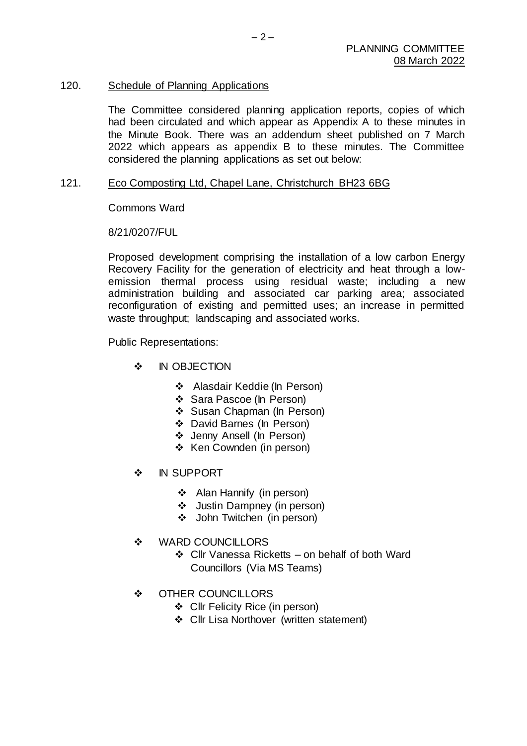# 120. Schedule of Planning Applications

The Committee considered planning application reports, copies of which had been circulated and which appear as Appendix A to these minutes in the Minute Book. There was an addendum sheet published on 7 March 2022 which appears as appendix B to these minutes. The Committee considered the planning applications as set out below:

### 121. Eco Composting Ltd, Chapel Lane, Christchurch BH23 6BG

Commons Ward

# 8/21/0207/FUL

Proposed development comprising the installation of a low carbon Energy Recovery Facility for the generation of electricity and heat through a lowemission thermal process using residual waste; including a new administration building and associated car parking area; associated reconfiguration of existing and permitted uses; an increase in permitted waste throughput; landscaping and associated works.

Public Representations:

- **M** IN OBJECTION
	- ❖ Alasdair Keddie (In Person)
	- ❖ Sara Pascoe (In Person)
	- Susan Chapman (In Person)
	- David Barnes (In Person)
	- Jenny Ansell (In Person)
	- ❖ Ken Cownden (in person)
- ❖ IN SUPPORT
	- Alan Hannify (in person)
	- Justin Dampney (in person)
	- John Twitchen (in person)
- ❖ WARD COUNCILLORS
	- $\div$  Cllr Vanessa Ricketts on behalf of both Ward Councillors (Via MS Teams)
- ❖ OTHER COUNCILLORS
	- Cllr Felicity Rice (in person)
	- ❖ Cllr Lisa Northover (written statement)